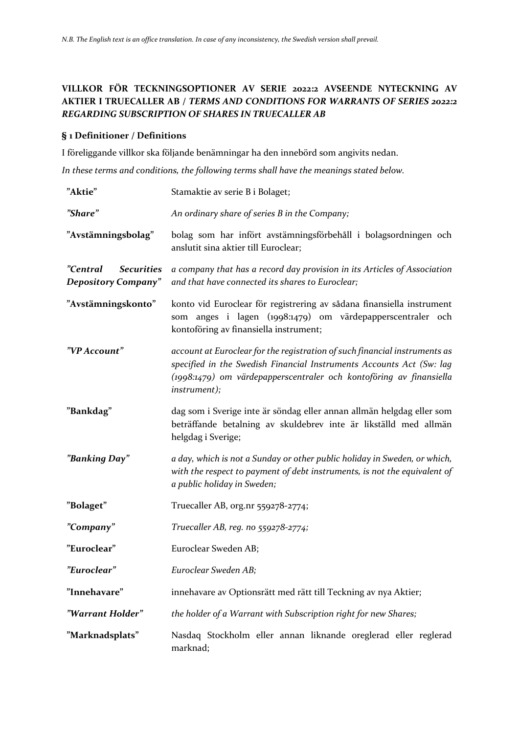# **VILLKOR FÖR TECKNINGSOPTIONER AV SERIE 2022:2 AVSEENDE NYTECKNING AV AKTIER I TRUECALLER AB /** *TERMS AND CONDITIONS FOR WARRANTS OF SERIES 2022:2 REGARDING SUBSCRIPTION OF SHARES IN TRUECALLER AB*

#### **§ 1 Definitioner / Definitions**

I föreliggande villkor ska följande benämningar ha den innebörd som angivits nedan.

*In these terms and conditions, the following terms shall have the meanings stated below.*

| "Aktie"                                                     | Stamaktie av serie B i Bolaget;                                                                                                                                                                                                                  |
|-------------------------------------------------------------|--------------------------------------------------------------------------------------------------------------------------------------------------------------------------------------------------------------------------------------------------|
| "Share"                                                     | An ordinary share of series B in the Company;                                                                                                                                                                                                    |
| "Avstämningsbolag"                                          | bolag som har infört avstämningsförbehåll i bolagsordningen och<br>anslutit sina aktier till Euroclear;                                                                                                                                          |
| "Central<br><b>Securities</b><br><b>Depository Company"</b> | a company that has a record day provision in its Articles of Association<br>and that have connected its shares to Euroclear;                                                                                                                     |
| "Avstämningskonto"                                          | konto vid Euroclear för registrering av sådana finansiella instrument<br>som anges i lagen (1998:1479) om värdepapperscentraler och<br>kontoföring av finansiella instrument;                                                                    |
| "VP Account"                                                | account at Euroclear for the registration of such financial instruments as<br>specified in the Swedish Financial Instruments Accounts Act (Sw: lag<br>(1998:1479) om värdepapperscentraler och kontoföring av finansiella<br><i>instrument);</i> |
| "Bankdag"                                                   | dag som i Sverige inte är söndag eller annan allmän helgdag eller som<br>beträffande betalning av skuldebrev inte är likställd med allmän<br>helgdag i Sverige;                                                                                  |
| "Banking Day"                                               | a day, which is not a Sunday or other public holiday in Sweden, or which,<br>with the respect to payment of debt instruments, is not the equivalent of<br>a public holiday in Sweden;                                                            |
| "Bolaget"                                                   | Truecaller AB, org.nr 559278-2774;                                                                                                                                                                                                               |
| "Company"                                                   | Truecaller AB, reg. no 559278-2774;                                                                                                                                                                                                              |
| "Euroclear"                                                 | Euroclear Sweden AB;                                                                                                                                                                                                                             |
| "Euroclear"                                                 | Euroclear Sweden AB;                                                                                                                                                                                                                             |
| "Innehavare"                                                | innehavare av Optionsrätt med rätt till Teckning av nya Aktier;                                                                                                                                                                                  |
| "Warrant Holder"                                            | the holder of a Warrant with Subscription right for new Shares;                                                                                                                                                                                  |
| "Marknadsplats"                                             | Nasdaq Stockholm eller annan liknande oreglerad eller reglerad<br>marknad;                                                                                                                                                                       |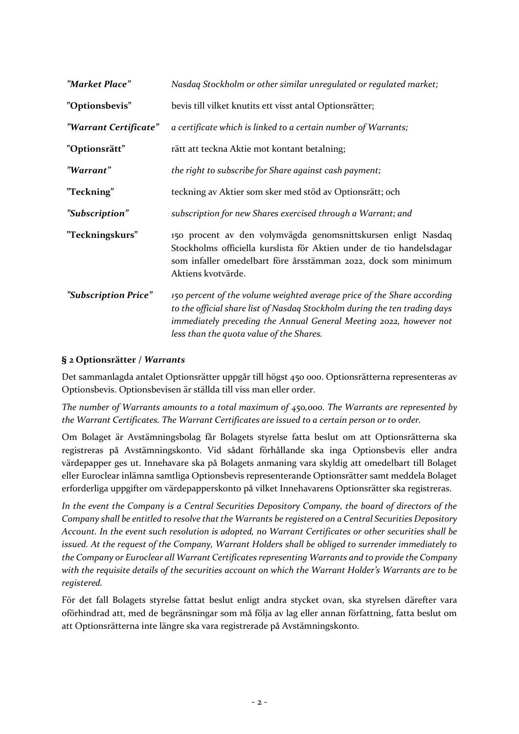| "Market Place"        | Nasdaq Stockholm or other similar unregulated or regulated market;                                                                                                                                                                                                      |
|-----------------------|-------------------------------------------------------------------------------------------------------------------------------------------------------------------------------------------------------------------------------------------------------------------------|
| "Optionsbevis"        | bevis till vilket knutits ett visst antal Optionsrätter;                                                                                                                                                                                                                |
| "Warrant Certificate" | a certificate which is linked to a certain number of Warrants;                                                                                                                                                                                                          |
| "Optionsrätt"         | rätt att teckna Aktie mot kontant betalning;                                                                                                                                                                                                                            |
| "Warrant"             | the right to subscribe for Share against cash payment;                                                                                                                                                                                                                  |
| "Teckning"            | teckning av Aktier som sker med stöd av Optionsrätt; och                                                                                                                                                                                                                |
| "Subscription"        | subscription for new Shares exercised through a Warrant; and                                                                                                                                                                                                            |
| "Teckningskurs"       | 150 procent av den volymvägda genomsnittskursen enligt Nasdaq<br>Stockholms officiella kurslista för Aktien under de tio handelsdagar<br>som infaller omedelbart före årsstämman 2022, dock som minimum<br>Aktiens kvotvärde.                                           |
| "Subscription Price"  | 150 percent of the volume weighted average price of the Share according<br>to the official share list of Nasdaq Stockholm during the ten trading days<br>immediately preceding the Annual General Meeting 2022, however not<br>less than the quota value of the Shares. |

### **§ 2 Optionsrätter /** *Warrants*

Det sammanlagda antalet Optionsrätter uppgår till högst 450 000. Optionsrätterna representeras av Optionsbevis. Optionsbevisen är ställda till viss man eller order.

*The number of Warrants amounts to a total maximum of 450,000. The Warrants are represented by the Warrant Certificates. The Warrant Certificates are issued to a certain person or to order.*

Om Bolaget är Avstämningsbolag får Bolagets styrelse fatta beslut om att Optionsrätterna ska registreras på Avstämningskonto. Vid sådant förhållande ska inga Optionsbevis eller andra värdepapper ges ut. Innehavare ska på Bolagets anmaning vara skyldig att omedelbart till Bolaget eller Euroclear inlämna samtliga Optionsbevis representerande Optionsrätter samt meddela Bolaget erforderliga uppgifter om värdepapperskonto på vilket Innehavarens Optionsrätter ska registreras.

*In the event the Company is a Central Securities Depository Company, the board of directors of the Company shall be entitled to resolve that the Warrants be registered on a Central Securities Depository Account. In the event such resolution is adopted, no Warrant Certificates or other securities shall be issued. At the request of the Company, Warrant Holders shall be obliged to surrender immediately to the Company or Euroclear all Warrant Certificates representing Warrants and to provide the Company with the requisite details of the securities account on which the Warrant Holder's Warrants are to be registered.*

För det fall Bolagets styrelse fattat beslut enligt andra stycket ovan, ska styrelsen därefter vara oförhindrad att, med de begränsningar som må följa av lag eller annan författning, fatta beslut om att Optionsrätterna inte längre ska vara registrerade på Avstämningskonto.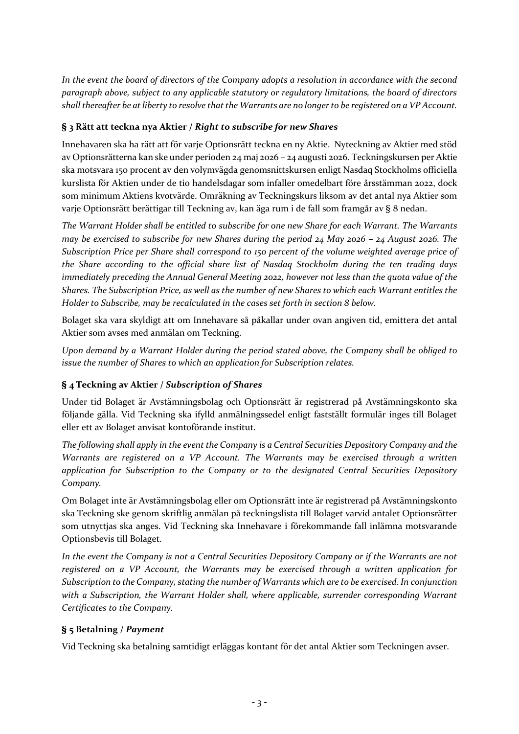*In the event the board of directors of the Company adopts a resolution in accordance with the second paragraph above, subject to any applicable statutory or regulatory limitations, the board of directors shall thereafter be at liberty to resolve that the Warrants are no longer to be registered on a VP Account.*

## **§ 3 Rätt att teckna nya Aktier /** *Right to subscribe for new Shares*

Innehavaren ska ha rätt att för varje Optionsrätt teckna en ny Aktie. Nyteckning av Aktier med stöd av Optionsrätterna kan ske under perioden 24 maj 2026 – 24 augusti 2026. Teckningskursen per Aktie ska motsvara 150 procent av den volymvägda genomsnittskursen enligt Nasdaq Stockholms officiella kurslista för Aktien under de tio handelsdagar som infaller omedelbart före årsstämman 2022, dock som minimum Aktiens kvotvärde. Omräkning av Teckningskurs liksom av det antal nya Aktier som varje Optionsrätt berättigar till Teckning av, kan äga rum i de fall som framgår av § 8 nedan.

*The Warrant Holder shall be entitled to subscribe for one new Share for each Warrant. The Warrants may be exercised to subscribe for new Shares during the period 24 May 2026 – 24 August 2026. The Subscription Price per Share shall correspond to 150 percent of the volume weighted average price of the Share according to the official share list of Nasdaq Stockholm during the ten trading days immediately preceding the Annual General Meeting 2022, however not less than the quota value of the Shares. The Subscription Price, as well as the number of new Shares to which each Warrant entitles the Holder to Subscribe, may be recalculated in the cases set forth in section 8 below.*

Bolaget ska vara skyldigt att om Innehavare så påkallar under ovan angiven tid, emittera det antal Aktier som avses med anmälan om Teckning.

*Upon demand by a Warrant Holder during the period stated above, the Company shall be obliged to issue the number of Shares to which an application for Subscription relates.*

# **§ 4 Teckning av Aktier /** *Subscription of Shares*

Under tid Bolaget är Avstämningsbolag och Optionsrätt är registrerad på Avstämningskonto ska följande gälla. Vid Teckning ska ifylld anmälningssedel enligt fastställt formulär inges till Bolaget eller ett av Bolaget anvisat kontoförande institut.

*The following shall apply in the event the Company is a Central Securities Depository Company and the Warrants are registered on a VP Account. The Warrants may be exercised through a written application for Subscription to the Company or to the designated Central Securities Depository Company.*

Om Bolaget inte är Avstämningsbolag eller om Optionsrätt inte är registrerad på Avstämningskonto ska Teckning ske genom skriftlig anmälan på teckningslista till Bolaget varvid antalet Optionsrätter som utnyttjas ska anges. Vid Teckning ska Innehavare i förekommande fall inlämna motsvarande Optionsbevis till Bolaget.

*In the event the Company is not a Central Securities Depository Company or if the Warrants are not registered on a VP Account, the Warrants may be exercised through a written application for Subscription to the Company, stating the number of Warrants which are to be exercised. In conjunction with a Subscription, the Warrant Holder shall, where applicable, surrender corresponding Warrant Certificates to the Company.*

## **§ 5 Betalning /** *Payment*

Vid Teckning ska betalning samtidigt erläggas kontant för det antal Aktier som Teckningen avser.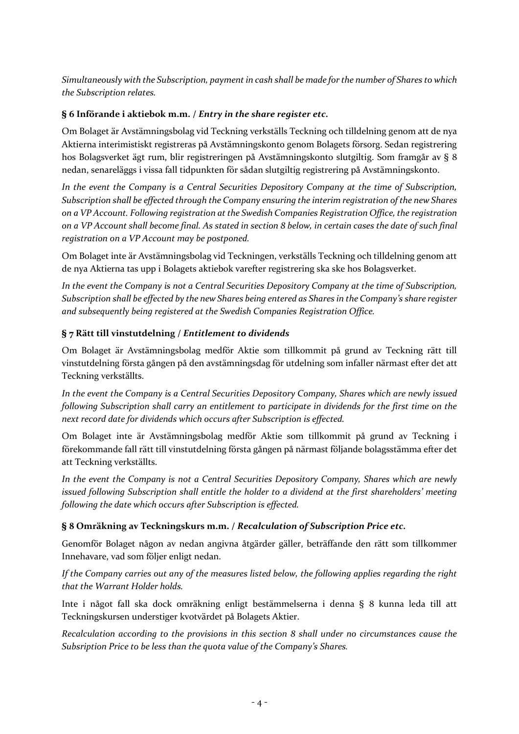*Simultaneously with the Subscription, payment in cash shall be made for the number of Shares to which the Subscription relates.*

### **§ 6 Införande i aktiebok m.m. /** *Entry in the share register etc.*

Om Bolaget är Avstämningsbolag vid Teckning verkställs Teckning och tilldelning genom att de nya Aktierna interimistiskt registreras på Avstämningskonto genom Bolagets försorg. Sedan registrering hos Bolagsverket ägt rum, blir registreringen på Avstämningskonto slutgiltig. Som framgår av § 8 nedan, senareläggs i vissa fall tidpunkten för sådan slutgiltig registrering på Avstämningskonto.

*In the event the Company is a Central Securities Depository Company at the time of Subscription, Subscription shall be effected through the Company ensuring the interim registration of the new Shares on a VP Account. Following registration at the Swedish Companies Registration Office, the registration on a VP Account shall become final. As stated in section 8 below, in certain cases the date of such final registration on a VP Account may be postponed.*

Om Bolaget inte är Avstämningsbolag vid Teckningen, verkställs Teckning och tilldelning genom att de nya Aktierna tas upp i Bolagets aktiebok varefter registrering ska ske hos Bolagsverket.

*In the event the Company is not a Central Securities Depository Company at the time of Subscription, Subscription shall be effected by the new Shares being entered as Shares in the Company's share register and subsequently being registered at the Swedish Companies Registration Office.*

### **§ 7 Rätt till vinstutdelning /** *Entitlement to dividends*

Om Bolaget är Avstämningsbolag medför Aktie som tillkommit på grund av Teckning rätt till vinstutdelning första gången på den avstämningsdag för utdelning som infaller närmast efter det att Teckning verkställts.

*In the event the Company is a Central Securities Depository Company, Shares which are newly issued following Subscription shall carry an entitlement to participate in dividends for the first time on the next record date for dividends which occurs after Subscription is effected.*

Om Bolaget inte är Avstämningsbolag medför Aktie som tillkommit på grund av Teckning i förekommande fall rätt till vinstutdelning första gången på närmast följande bolagsstämma efter det att Teckning verkställts.

*In the event the Company is not a Central Securities Depository Company, Shares which are newly issued following Subscription shall entitle the holder to a dividend at the first shareholders' meeting following the date which occurs after Subscription is effected.*

#### **§ 8 Omräkning av Teckningskurs m.m. /** *Recalculation of Subscription Price etc.*

Genomför Bolaget någon av nedan angivna åtgärder gäller, beträffande den rätt som tillkommer Innehavare, vad som följer enligt nedan.

*If the Company carries out any of the measures listed below, the following applies regarding the right that the Warrant Holder holds.*

Inte i något fall ska dock omräkning enligt bestämmelserna i denna § 8 kunna leda till att Teckningskursen understiger kvotvärdet på Bolagets Aktier.

*Recalculation according to the provisions in this section 8 shall under no circumstances cause the Subsription Price to be less than the quota value of the Company's Shares.*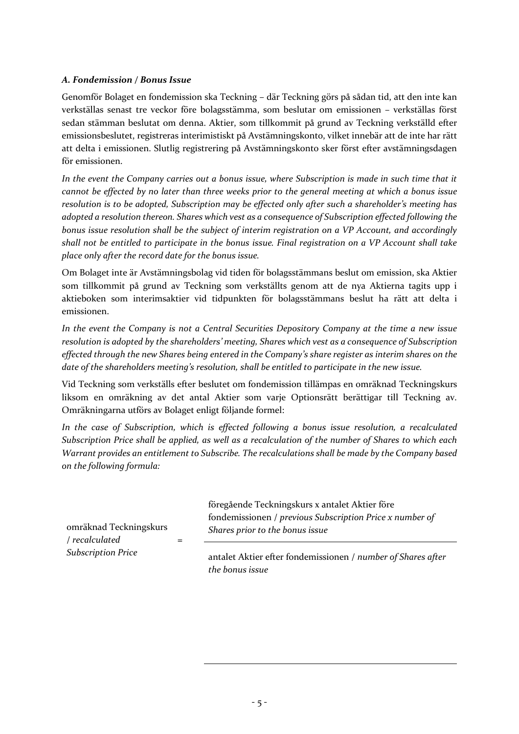#### *A. Fondemission / Bonus Issue*

Genomför Bolaget en fondemission ska Teckning – där Teckning görs på sådan tid, att den inte kan verkställas senast tre veckor före bolagsstämma, som beslutar om emissionen – verkställas först sedan stämman beslutat om denna. Aktier, som tillkommit på grund av Teckning verkställd efter emissionsbeslutet, registreras interimistiskt på Avstämningskonto, vilket innebär att de inte har rätt att delta i emissionen. Slutlig registrering på Avstämningskonto sker först efter avstämningsdagen för emissionen.

*In the event the Company carries out a bonus issue, where Subscription is made in such time that it cannot be effected by no later than three weeks prior to the general meeting at which a bonus issue resolution is to be adopted, Subscription may be effected only after such a shareholder's meeting has adopted a resolution thereon. Shares which vest as a consequence of Subscription effected following the bonus issue resolution shall be the subject of interim registration on a VP Account, and accordingly shall not be entitled to participate in the bonus issue. Final registration on a VP Account shall take place only after the record date for the bonus issue.*

Om Bolaget inte är Avstämningsbolag vid tiden för bolagsstämmans beslut om emission, ska Aktier som tillkommit på grund av Teckning som verkställts genom att de nya Aktierna tagits upp i aktieboken som interimsaktier vid tidpunkten för bolagsstämmans beslut ha rätt att delta i emissionen.

*In the event the Company is not a Central Securities Depository Company at the time a new issue resolution is adopted by the shareholders' meeting, Shares which vest as a consequence of Subscription effected through the new Shares being entered in the Company's share register as interim shares on the date of the shareholders meeting's resolution, shall be entitled to participate in the new issue.*

Vid Teckning som verkställs efter beslutet om fondemission tillämpas en omräknad Teckningskurs liksom en omräkning av det antal Aktier som varje Optionsrätt berättigar till Teckning av. Omräkningarna utförs av Bolaget enligt följande formel:

*In the case of Subscription, which is effected following a bonus issue resolution, a recalculated Subscription Price shall be applied, as well as a recalculation of the number of Shares to which each Warrant provides an entitlement to Subscribe. The recalculations shall be made by the Company based on the following formula:*

|                                          | föregående Teckningskurs x antalet Aktier före                                              |
|------------------------------------------|---------------------------------------------------------------------------------------------|
| omräknad Teckningskurs<br>/ recalculated | fondemissionen / previous Subscription Price x number of<br>Shares prior to the bonus issue |
| <b>Subscription Price</b>                | approach Aletion often fondomission on Lumber of Shares after                               |

antalet Aktier efter fondemissionen / *number of Shares after the bonus issue*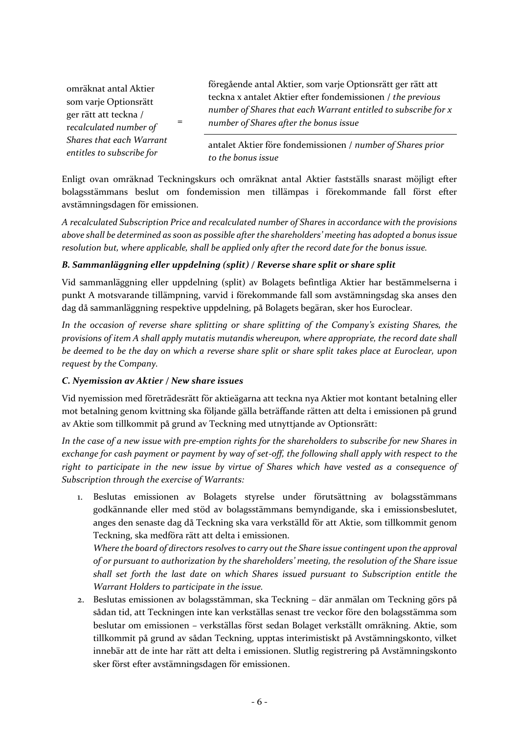omräknat antal Aktier som varje Optionsrätt ger rätt att teckna / r*ecalculated number of Shares that each Warrant entitles to subscribe for*

=

föregående antal Aktier, som varje Optionsrätt ger rätt att teckna x antalet Aktier efter fondemissionen / *the previous number of Shares that each Warrant entitled to subscribe for x number of Shares after the bonus issue*

antalet Aktier före fondemissionen / *number of Shares prior to the bonus issue*

Enligt ovan omräknad Teckningskurs och omräknat antal Aktier fastställs snarast möjligt efter bolagsstämmans beslut om fondemission men tillämpas i förekommande fall först efter avstämningsdagen för emissionen.

*A recalculated Subscription Price and recalculated number of Shares in accordance with the provisions above shall be determined as soon as possible after the shareholders' meeting has adopted a bonus issue resolution but, where applicable, shall be applied only after the record date for the bonus issue.*

## *B. Sammanläggning eller uppdelning (split) / Reverse share split or share split*

Vid sammanläggning eller uppdelning (split) av Bolagets befintliga Aktier har bestämmelserna i punkt A motsvarande tillämpning, varvid i förekommande fall som avstämningsdag ska anses den dag då sammanläggning respektive uppdelning, på Bolagets begäran, sker hos Euroclear.

*In the occasion of reverse share splitting or share splitting of the Company's existing Shares, the provisions of item A shall apply mutatis mutandis whereupon, where appropriate, the record date shall be deemed to be the day on which a reverse share split or share split takes place at Euroclear, upon request by the Company.*

#### *C. Nyemission av Aktier / New share issues*

Vid nyemission med företrädesrätt för aktieägarna att teckna nya Aktier mot kontant betalning eller mot betalning genom kvittning ska följande gälla beträffande rätten att delta i emissionen på grund av Aktie som tillkommit på grund av Teckning med utnyttjande av Optionsrätt:

*In the case of a new issue with pre-emption rights for the shareholders to subscribe for new Shares in exchange for cash payment or payment by way of set-off, the following shall apply with respect to the right to participate in the new issue by virtue of Shares which have vested as a consequence of Subscription through the exercise of Warrants:*

1. Beslutas emissionen av Bolagets styrelse under förutsättning av bolagsstämmans godkännande eller med stöd av bolagsstämmans bemyndigande, ska i emissionsbeslutet, anges den senaste dag då Teckning ska vara verkställd för att Aktie, som tillkommit genom Teckning, ska medföra rätt att delta i emissionen.

*Where the board of directors resolves to carry out the Share issue contingent upon the approval of or pursuant to authorization by the shareholders' meeting, the resolution of the Share issue shall set forth the last date on which Shares issued pursuant to Subscription entitle the Warrant Holders to participate in the issue.*

2. Beslutas emissionen av bolagsstämman, ska Teckning – där anmälan om Teckning görs på sådan tid, att Teckningen inte kan verkställas senast tre veckor före den bolagsstämma som beslutar om emissionen – verkställas först sedan Bolaget verkställt omräkning. Aktie, som tillkommit på grund av sådan Teckning, upptas interimistiskt på Avstämningskonto, vilket innebär att de inte har rätt att delta i emissionen. Slutlig registrering på Avstämningskonto sker först efter avstämningsdagen för emissionen.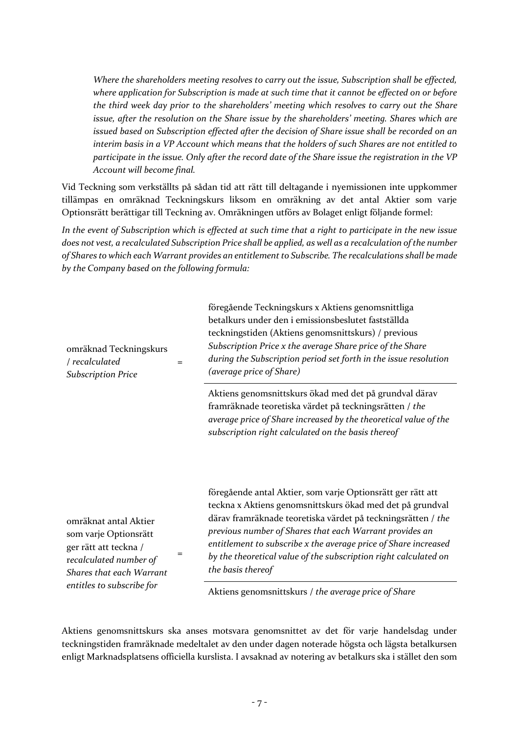*Where the shareholders meeting resolves to carry out the issue, Subscription shall be effected, where application for Subscription is made at such time that it cannot be effected on or before the third week day prior to the shareholders' meeting which resolves to carry out the Share issue, after the resolution on the Share issue by the shareholders' meeting. Shares which are issued based on Subscription effected after the decision of Share issue shall be recorded on an interim basis in a VP Account which means that the holders of such Shares are not entitled to participate in the issue. Only after the record date of the Share issue the registration in the VP Account will become final.*

Vid Teckning som verkställts på sådan tid att rätt till deltagande i nyemissionen inte uppkommer tillämpas en omräknad Teckningskurs liksom en omräkning av det antal Aktier som varje Optionsrätt berättigar till Teckning av. Omräkningen utförs av Bolaget enligt följande formel:

*In the event of Subscription which is effected at such time that a right to participate in the new issue does not vest, a recalculated Subscription Price shall be applied, as well as a recalculation of the number of Shares to which each Warrant provides an entitlement to Subscribe. The recalculations shall be made by the Company based on the following formula:*

| omräknad Teckningskurs<br>/ recalculated<br>$=$<br><b>Subscription Price</b>                                                         | föregående Teckningskurs x Aktiens genomsnittliga<br>betalkurs under den i emissionsbeslutet fastställda<br>teckningstiden (Aktiens genomsnittskurs) / previous<br>Subscription Price x the average Share price of the Share<br>during the Subscription period set forth in the issue resolution<br>(average price of Share)                                                                                    |
|--------------------------------------------------------------------------------------------------------------------------------------|-----------------------------------------------------------------------------------------------------------------------------------------------------------------------------------------------------------------------------------------------------------------------------------------------------------------------------------------------------------------------------------------------------------------|
|                                                                                                                                      | Aktiens genomsnittskurs ökad med det på grundval därav<br>framräknade teoretiska värdet på teckningsrätten / the<br>average price of Share increased by the theoretical value of the<br>subscription right calculated on the basis thereof                                                                                                                                                                      |
| omräknat antal Aktier<br>som varje Optionsrätt<br>ger rätt att teckna /<br>recalculated number of<br><b>Shares that each Warrant</b> | föregående antal Aktier, som varje Optionsrätt ger rätt att<br>teckna x Aktiens genomsnittskurs ökad med det på grundval<br>därav framräknade teoretiska värdet på teckningsrätten / the<br>previous number of Shares that each Warrant provides an<br>entitlement to subscribe x the average price of Share increased<br>by the theoretical value of the subscription right calculated on<br>the basis thereof |
| entitles to subscribe for                                                                                                            | Aktiens genomsnittskurs / the average price of Share                                                                                                                                                                                                                                                                                                                                                            |

Aktiens genomsnittskurs ska anses motsvara genomsnittet av det för varje handelsdag under teckningstiden framräknade medeltalet av den under dagen noterade högsta och lägsta betalkursen enligt Marknadsplatsens officiella kurslista. I avsaknad av notering av betalkurs ska i stället den som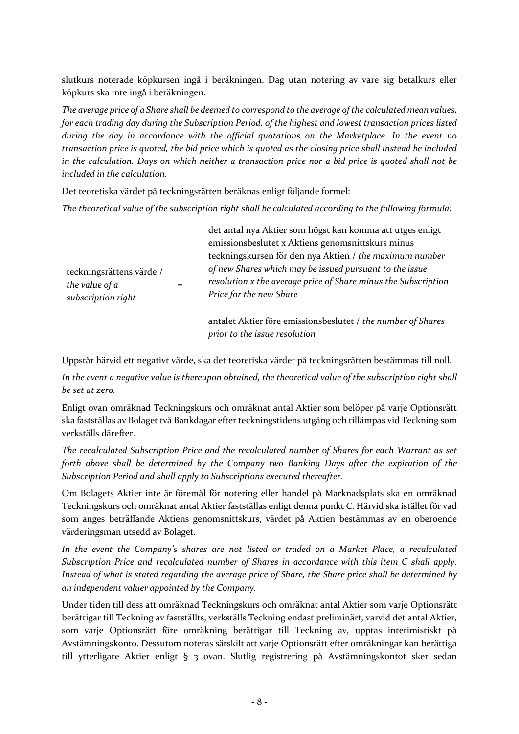slutkurs noterade köpkursen ingå i beräkningen. Dag utan notering av vare sig betalkurs eller köpkurs ska inte ingå i beräkningen.

*The average price of a Share shall be deemed to correspond to the average of the calculated mean values, for each trading day during the Subscription Period, of the highest and lowest transaction prices listed during the day in accordance with the official quotations on the Marketplace. In the event no transaction price is quoted, the bid price which is quoted as the closing price shall instead be included in the calculation. Days on which neither a transaction price nor a bid price is quoted shall not be included in the calculation.*

Det teoretiska värdet på teckningsrätten beräknas enligt följande formel:

*The theoretical value of the subscription right shall be calculated according to the following formula:*

| teckningsrättens värde /<br>the value of a<br>subscription right |  | det antal nya Aktier som högst kan komma att utges enligt                                                                                            |
|------------------------------------------------------------------|--|------------------------------------------------------------------------------------------------------------------------------------------------------|
|                                                                  |  | emissionsbeslutet x Aktiens genomsnittskurs minus                                                                                                    |
|                                                                  |  | teckningskursen för den nya Aktien / the maximum number                                                                                              |
|                                                                  |  | of new Shares which may be issued pursuant to the issue<br>resolution x the average price of Share minus the Subscription<br>Price for the new Share |
|                                                                  |  | approach a littler for equivalent population of the number of Shares                                                                                 |

antalet Aktier före emissionsbeslutet / *the number of Shares prior to the issue resolution*

Uppstår härvid ett negativt värde, ska det teoretiska värdet på teckningsrätten bestämmas till noll.

*In the event a negative value is thereupon obtained, the theoretical value of the subscription right shall be set at zero.*

Enligt ovan omräknad Teckningskurs och omräknat antal Aktier som belöper på varje Optionsrätt ska fastställas av Bolaget två Bankdagar efter teckningstidens utgång och tillämpas vid Teckning som verkställs därefter.

*The recalculated Subscription Price and the recalculated number of Shares for each Warrant as set forth above shall be determined by the Company two Banking Days after the expiration of the Subscription Period and shall apply to Subscriptions executed thereafter.*

Om Bolagets Aktier inte är föremål för notering eller handel på Marknadsplats ska en omräknad Teckningskurs och omräknat antal Aktier fastställas enligt denna punkt C. Härvid ska istället för vad som anges beträffande Aktiens genomsnittskurs, värdet på Aktien bestämmas av en oberoende värderingsman utsedd av Bolaget.

*In the event the Company's shares are not listed or traded on a Market Place, a recalculated Subscription Price and recalculated number of Shares in accordance with this item C shall apply. Instead of what is stated regarding the average price of Share, the Share price shall be determined by an independent valuer appointed by the Company.*

Under tiden till dess att omräknad Teckningskurs och omräknat antal Aktier som varje Optionsrätt berättigar till Teckning av fastställts, verkställs Teckning endast preliminärt, varvid det antal Aktier, som varje Optionsrätt före omräkning berättigar till Teckning av, upptas interimistiskt på Avstämningskonto. Dessutom noteras särskilt att varje Optionsrätt efter omräkningar kan berättiga till ytterligare Aktier enligt § 3 ovan. Slutlig registrering på Avstämningskontot sker sedan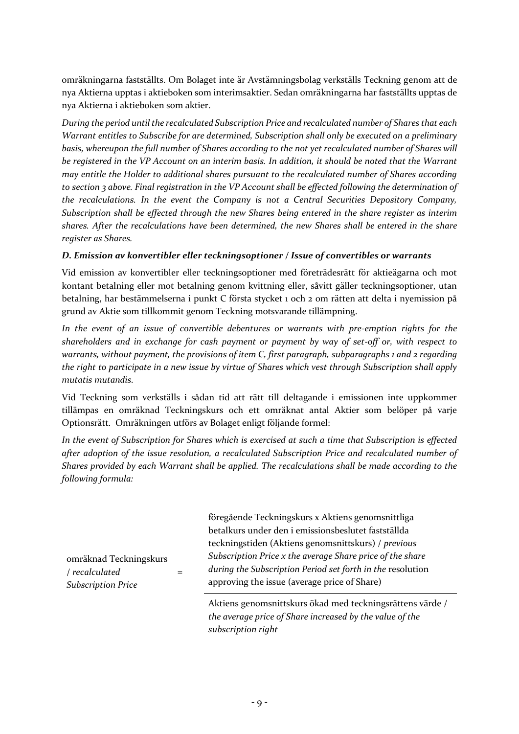omräkningarna fastställts. Om Bolaget inte är Avstämningsbolag verkställs Teckning genom att de nya Aktierna upptas i aktieboken som interimsaktier. Sedan omräkningarna har fastställts upptas de nya Aktierna i aktieboken som aktier.

*During the period until the recalculated Subscription Price and recalculated number of Shares that each Warrant entitles to Subscribe for are determined, Subscription shall only be executed on a preliminary basis, whereupon the full number of Shares according to the not yet recalculated number of Shares will be registered in the VP Account on an interim basis. In addition, it should be noted that the Warrant may entitle the Holder to additional shares pursuant to the recalculated number of Shares according to section 3 above. Final registration in the VP Account shall be effected following the determination of the recalculations. In the event the Company is not a Central Securities Depository Company, Subscription shall be effected through the new Shares being entered in the share register as interim shares. After the recalculations have been determined, the new Shares shall be entered in the share register as Shares.*

### *D. Emission av konvertibler eller teckningsoptioner / Issue of convertibles or warrants*

Vid emission av konvertibler eller teckningsoptioner med företrädesrätt för aktieägarna och mot kontant betalning eller mot betalning genom kvittning eller, såvitt gäller teckningsoptioner, utan betalning, har bestämmelserna i punkt C första stycket 1 och 2 om rätten att delta i nyemission på grund av Aktie som tillkommit genom Teckning motsvarande tillämpning.

*In the event of an issue of convertible debentures or warrants with pre-emption rights for the shareholders and in exchange for cash payment or payment by way of set-off or, with respect to warrants, without payment, the provisions of item C, first paragraph, subparagraphs 1 and 2 regarding the right to participate in a new issue by virtue of Shares which vest through Subscription shall apply mutatis mutandis.*

Vid Teckning som verkställs i sådan tid att rätt till deltagande i emissionen inte uppkommer tillämpas en omräknad Teckningskurs och ett omräknat antal Aktier som belöper på varje Optionsrätt. Omräkningen utförs av Bolaget enligt följande formel:

*In the event of Subscription for Shares which is exercised at such a time that Subscription is effected after adoption of the issue resolution, a recalculated Subscription Price and recalculated number of Shares provided by each Warrant shall be applied. The recalculations shall be made according to the following formula:*

omräknad Teckningskurs / *recalculated Subscription Price* = föregående Teckningskurs x Aktiens genomsnittliga betalkurs under den i emissionsbeslutet fastställda teckningstiden (Aktiens genomsnittskurs) / *previous Subscription Price x the average Share price of the share during the Subscription Period set forth in the* resolution approving the issue (average price of Share)

Aktiens genomsnittskurs ökad med teckningsrättens värde / *the average price of Share increased by the value of the subscription right*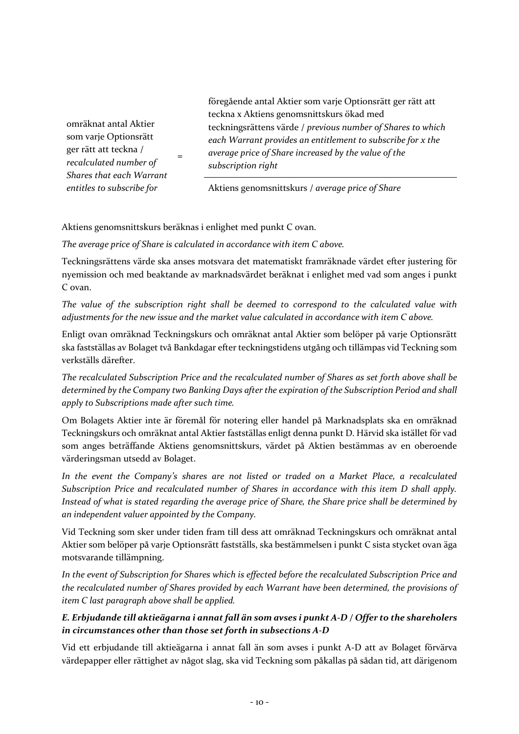omräknat antal Aktier som varje Optionsrätt ger rätt att teckna / *recalculated number of Shares that each Warrant entitles to subscribe for*

föregående antal Aktier som varje Optionsrätt ger rätt att teckna x Aktiens genomsnittskurs ökad med teckningsrättens värde / *previous number of Shares to which each Warrant provides an entitlement to subscribe for x the average price of Share increased by the value of the subscription right*

Aktiens genomsnittskurs / *average price of Share*

Aktiens genomsnittskurs beräknas i enlighet med punkt C ovan.

=

*The average price of Share is calculated in accordance with item C above.*

Teckningsrättens värde ska anses motsvara det matematiskt framräknade värdet efter justering för nyemission och med beaktande av marknadsvärdet beräknat i enlighet med vad som anges i punkt C ovan.

*The value of the subscription right shall be deemed to correspond to the calculated value with adjustments for the new issue and the market value calculated in accordance with item C above.*

Enligt ovan omräknad Teckningskurs och omräknat antal Aktier som belöper på varje Optionsrätt ska fastställas av Bolaget två Bankdagar efter teckningstidens utgång och tillämpas vid Teckning som verkställs därefter.

*The recalculated Subscription Price and the recalculated number of Shares as set forth above shall be determined by the Company two Banking Days after the expiration of the Subscription Period and shall apply to Subscriptions made after such time.*

Om Bolagets Aktier inte är föremål för notering eller handel på Marknadsplats ska en omräknad Teckningskurs och omräknat antal Aktier fastställas enligt denna punkt D. Härvid ska istället för vad som anges beträffande Aktiens genomsnittskurs, värdet på Aktien bestämmas av en oberoende värderingsman utsedd av Bolaget.

*In the event the Company's shares are not listed or traded on a Market Place, a recalculated Subscription Price and recalculated number of Shares in accordance with this item D shall apply. Instead of what is stated regarding the average price of Share, the Share price shall be determined by an independent valuer appointed by the Company.*

Vid Teckning som sker under tiden fram till dess att omräknad Teckningskurs och omräknat antal Aktier som belöper på varje Optionsrätt fastställs, ska bestämmelsen i punkt C sista stycket ovan äga motsvarande tillämpning.

*In the event of Subscription for Shares which is effected before the recalculated Subscription Price and the recalculated number of Shares provided by each Warrant have been determined, the provisions of item C last paragraph above shall be applied.*

### *E. Erbjudande till aktieägarna i annat fall än som avses i punkt A-D / Offer to the shareholers in circumstances other than those set forth in subsections A-D*

Vid ett erbjudande till aktieägarna i annat fall än som avses i punkt A-D att av Bolaget förvärva värdepapper eller rättighet av något slag, ska vid Teckning som påkallas på sådan tid, att därigenom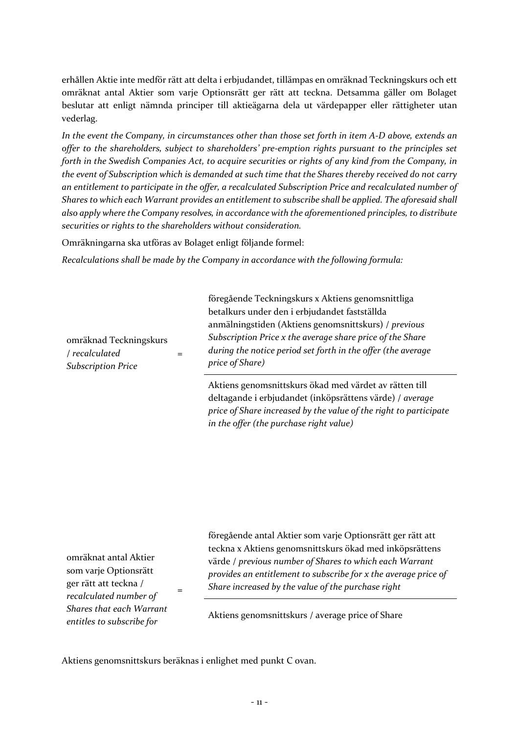erhållen Aktie inte medför rätt att delta i erbjudandet, tillämpas en omräknad Teckningskurs och ett omräknat antal Aktier som varje Optionsrätt ger rätt att teckna. Detsamma gäller om Bolaget beslutar att enligt nämnda principer till aktieägarna dela ut värdepapper eller rättigheter utan vederlag.

*In the event the Company, in circumstances other than those set forth in item A-D above, extends an offer to the shareholders, subject to shareholders' pre-emption rights pursuant to the principles set forth in the Swedish Companies Act, to acquire securities or rights of any kind from the Company, in the event of Subscription which is demanded at such time that the Shares thereby received do not carry an entitlement to participate in the offer, a recalculated Subscription Price and recalculated number of Shares to which each Warrant provides an entitlement to subscribe shall be applied. The aforesaid shall also apply where the Company resolves, in accordance with the aforementioned principles, to distribute securities or rights to the shareholders without consideration.*

Omräkningarna ska utföras av Bolaget enligt följande formel:

*Recalculations shall be made by the Company in accordance with the following formula:*

| omräknad Teckningskurs<br>/ recalculated<br><b>Subscription Price</b> | föregående Teckningskurs x Aktiens genomsnittliga<br>betalkurs under den i erbjudandet fastställda<br>anmälningstiden (Aktiens genomsnittskurs) / previous<br>Subscription Price x the average share price of the Share<br>during the notice period set forth in the offer (the average<br>price of Share) |
|-----------------------------------------------------------------------|------------------------------------------------------------------------------------------------------------------------------------------------------------------------------------------------------------------------------------------------------------------------------------------------------------|
|                                                                       | Aktiens genomsnittskurs ökad med värdet av rätten till<br>deltagande i erbjudandet (inköpsrättens värde) / average<br>price of Share increased by the value of the right to participate<br>in the offer (the purchase right value)                                                                         |

omräknat antal Aktier som varje Optionsrätt ger rätt att teckna / *recalculated number of Shares that each Warrant entitles to subscribe for*

föregående antal Aktier som varje Optionsrätt ger rätt att teckna x Aktiens genomsnittskurs ökad med inköpsrättens värde / *previous number of Shares to which each Warrant provides an entitlement to subscribe for x the average price of Share increased by the value of the purchase right*

Aktiens genomsnittskurs / average price of Share

Aktiens genomsnittskurs beräknas i enlighet med punkt C ovan.

=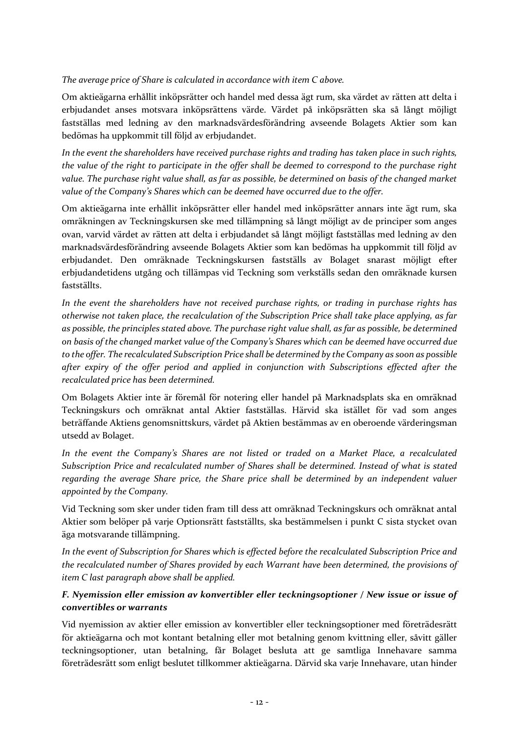*The average price of Share is calculated in accordance with item C above.*

Om aktieägarna erhållit inköpsrätter och handel med dessa ägt rum, ska värdet av rätten att delta i erbjudandet anses motsvara inköpsrättens värde. Värdet på inköpsrätten ska så långt möjligt fastställas med ledning av den marknadsvärdesförändring avseende Bolagets Aktier som kan bedömas ha uppkommit till följd av erbjudandet.

*In the event the shareholders have received purchase rights and trading has taken place in such rights, the value of the right to participate in the offer shall be deemed to correspond to the purchase right value. The purchase right value shall, as far as possible, be determined on basis of the changed market value of the Company's Shares which can be deemed have occurred due to the offer.*

Om aktieägarna inte erhållit inköpsrätter eller handel med inköpsrätter annars inte ägt rum, ska omräkningen av Teckningskursen ske med tillämpning så långt möjligt av de principer som anges ovan, varvid värdet av rätten att delta i erbjudandet så långt möjligt fastställas med ledning av den marknadsvärdesförändring avseende Bolagets Aktier som kan bedömas ha uppkommit till följd av erbjudandet. Den omräknade Teckningskursen fastställs av Bolaget snarast möjligt efter erbjudandetidens utgång och tillämpas vid Teckning som verkställs sedan den omräknade kursen fastställts.

*In the event the shareholders have not received purchase rights, or trading in purchase rights has otherwise not taken place, the recalculation of the Subscription Price shall take place applying, as far as possible, the principles stated above. The purchase right value shall, as far as possible, be determined on basis of the changed market value of the Company's Shares which can be deemed have occurred due to the offer. The recalculated Subscription Price shall be determined by the Company as soon as possible after expiry of the offer period and applied in conjunction with Subscriptions effected after the recalculated price has been determined.*

Om Bolagets Aktier inte är föremål för notering eller handel på Marknadsplats ska en omräknad Teckningskurs och omräknat antal Aktier fastställas. Härvid ska istället för vad som anges beträffande Aktiens genomsnittskurs, värdet på Aktien bestämmas av en oberoende värderingsman utsedd av Bolaget.

*In the event the Company's Shares are not listed or traded on a Market Place, a recalculated Subscription Price and recalculated number of Shares shall be determined. Instead of what is stated regarding the average Share price, the Share price shall be determined by an independent valuer appointed by the Company.*

Vid Teckning som sker under tiden fram till dess att omräknad Teckningskurs och omräknat antal Aktier som belöper på varje Optionsrätt fastställts, ska bestämmelsen i punkt C sista stycket ovan äga motsvarande tillämpning.

*In the event of Subscription for Shares which is effected before the recalculated Subscription Price and the recalculated number of Shares provided by each Warrant have been determined, the provisions of item C last paragraph above shall be applied.*

## *F. Nyemission eller emission av konvertibler eller teckningsoptioner / New issue or issue of convertibles or warrants*

Vid nyemission av aktier eller emission av konvertibler eller teckningsoptioner med företrädesrätt för aktieägarna och mot kontant betalning eller mot betalning genom kvittning eller, såvitt gäller teckningsoptioner, utan betalning, får Bolaget besluta att ge samtliga Innehavare samma företrädesrätt som enligt beslutet tillkommer aktieägarna. Därvid ska varje Innehavare, utan hinder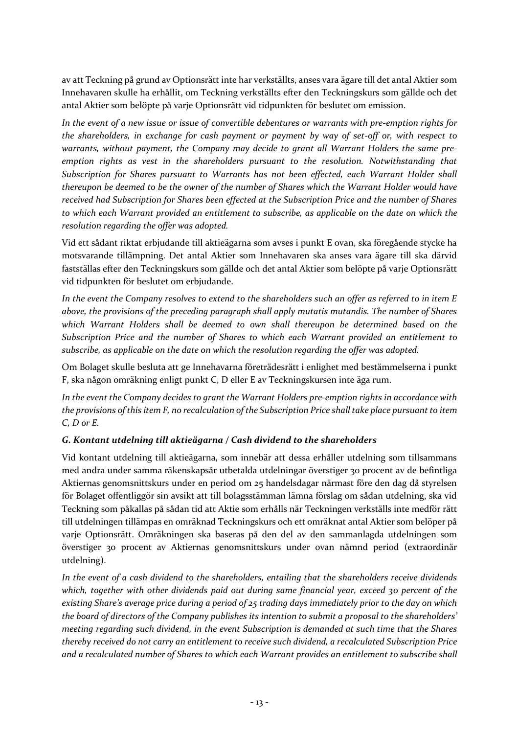av att Teckning på grund av Optionsrätt inte har verkställts, anses vara ägare till det antal Aktier som Innehavaren skulle ha erhållit, om Teckning verkställts efter den Teckningskurs som gällde och det antal Aktier som belöpte på varje Optionsrätt vid tidpunkten för beslutet om emission.

*In the event of a new issue or issue of convertible debentures or warrants with pre-emption rights for the shareholders, in exchange for cash payment or payment by way of set-off or, with respect to warrants, without payment, the Company may decide to grant all Warrant Holders the same preemption rights as vest in the shareholders pursuant to the resolution. Notwithstanding that Subscription for Shares pursuant to Warrants has not been effected, each Warrant Holder shall thereupon be deemed to be the owner of the number of Shares which the Warrant Holder would have received had Subscription for Shares been effected at the Subscription Price and the number of Shares to which each Warrant provided an entitlement to subscribe, as applicable on the date on which the resolution regarding the offer was adopted.*

Vid ett sådant riktat erbjudande till aktieägarna som avses i punkt E ovan, ska föregående stycke ha motsvarande tillämpning. Det antal Aktier som Innehavaren ska anses vara ägare till ska därvid fastställas efter den Teckningskurs som gällde och det antal Aktier som belöpte på varje Optionsrätt vid tidpunkten för beslutet om erbjudande.

*In the event the Company resolves to extend to the shareholders such an offer as referred to in item E above, the provisions of the preceding paragraph shall apply mutatis mutandis. The number of Shares which Warrant Holders shall be deemed to own shall thereupon be determined based on the Subscription Price and the number of Shares to which each Warrant provided an entitlement to subscribe, as applicable on the date on which the resolution regarding the offer was adopted.*

Om Bolaget skulle besluta att ge Innehavarna företrädesrätt i enlighet med bestämmelserna i punkt F, ska någon omräkning enligt punkt C, D eller E av Teckningskursen inte äga rum.

*In the event the Company decides to grant the Warrant Holders pre-emption rights in accordance with the provisions of this item F, no recalculation of the Subscription Price shall take place pursuant to item C, D or E.*

## *G. Kontant utdelning till aktieägarna / Cash dividend to the shareholders*

Vid kontant utdelning till aktieägarna, som innebär att dessa erhåller utdelning som tillsammans med andra under samma räkenskapsår utbetalda utdelningar överstiger 30 procent av de befintliga Aktiernas genomsnittskurs under en period om 25 handelsdagar närmast före den dag då styrelsen för Bolaget offentliggör sin avsikt att till bolagsstämman lämna förslag om sådan utdelning, ska vid Teckning som påkallas på sådan tid att Aktie som erhålls när Teckningen verkställs inte medför rätt till utdelningen tillämpas en omräknad Teckningskurs och ett omräknat antal Aktier som belöper på varje Optionsrätt. Omräkningen ska baseras på den del av den sammanlagda utdelningen som överstiger 30 procent av Aktiernas genomsnittskurs under ovan nämnd period (extraordinär utdelning).

*In the event of a cash dividend to the shareholders, entailing that the shareholders receive dividends which, together with other dividends paid out during same financial year, exceed 30 percent of the existing Share's average price during a period of 25 trading days immediately prior to the day on which the board of directors of the Company publishes its intention to submit a proposal to the shareholders' meeting regarding such dividend, in the event Subscription is demanded at such time that the Shares thereby received do not carry an entitlement to receive such dividend, a recalculated Subscription Price and a recalculated number of Shares to which each Warrant provides an entitlement to subscribe shall*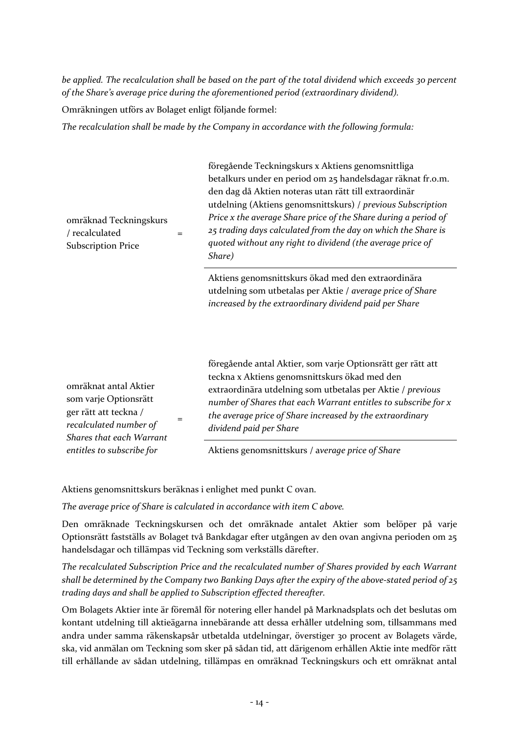*be applied. The recalculation shall be based on the part of the total dividend which exceeds 30 percent of the Share's average price during the aforementioned period (extraordinary dividend).*

Omräkningen utförs av Bolaget enligt följande formel:

*The recalculation shall be made by the Company in accordance with the following formula:*

| omräknad Teckningskurs<br>/ recalculated<br>$=$<br><b>Subscription Price</b>                                                                | föregående Teckningskurs x Aktiens genomsnittliga<br>betalkurs under en period om 25 handelsdagar räknat fr.o.m.<br>den dag då Aktien noteras utan rätt till extraordinär<br>utdelning (Aktiens genomsnittskurs) / previous Subscription<br>Price x the average Share price of the Share during a period of<br>25 trading days calculated from the day on which the Share is<br>quoted without any right to dividend (the average price of<br>Share) |
|---------------------------------------------------------------------------------------------------------------------------------------------|------------------------------------------------------------------------------------------------------------------------------------------------------------------------------------------------------------------------------------------------------------------------------------------------------------------------------------------------------------------------------------------------------------------------------------------------------|
|                                                                                                                                             | Aktiens genomsnittskurs ökad med den extraordinära<br>utdelning som utbetalas per Aktie / average price of Share<br>increased by the extraordinary dividend paid per Share                                                                                                                                                                                                                                                                           |
| omräknat antal Aktier<br>som varje Optionsrätt<br>ger rätt att teckna /<br>$=$<br>recalculated number of<br><b>Shares that each Warrant</b> | föregående antal Aktier, som varje Optionsrätt ger rätt att<br>teckna x Aktiens genomsnittskurs ökad med den<br>extraordinära utdelning som utbetalas per Aktie / previous<br>number of Shares that each Warrant entitles to subscribe for x<br>the average price of Share increased by the extraordinary<br>dividend paid per Share                                                                                                                 |
| entitles to subscribe for                                                                                                                   | Aktiens genomsnittskurs / average price of Share                                                                                                                                                                                                                                                                                                                                                                                                     |

Aktiens genomsnittskurs beräknas i enlighet med punkt C ovan.

*The average price of Share is calculated in accordance with item C above.*

Den omräknade Teckningskursen och det omräknade antalet Aktier som belöper på varje Optionsrätt fastställs av Bolaget två Bankdagar efter utgången av den ovan angivna perioden om 25 handelsdagar och tillämpas vid Teckning som verkställs därefter.

*The recalculated Subscription Price and the recalculated number of Shares provided by each Warrant shall be determined by the Company two Banking Days after the expiry of the above-stated period of 25 trading days and shall be applied to Subscription effected thereafter.*

Om Bolagets Aktier inte är föremål för notering eller handel på Marknadsplats och det beslutas om kontant utdelning till aktieägarna innebärande att dessa erhåller utdelning som, tillsammans med andra under samma räkenskapsår utbetalda utdelningar, överstiger 30 procent av Bolagets värde, ska, vid anmälan om Teckning som sker på sådan tid, att därigenom erhållen Aktie inte medför rätt till erhållande av sådan utdelning, tillämpas en omräknad Teckningskurs och ett omräknat antal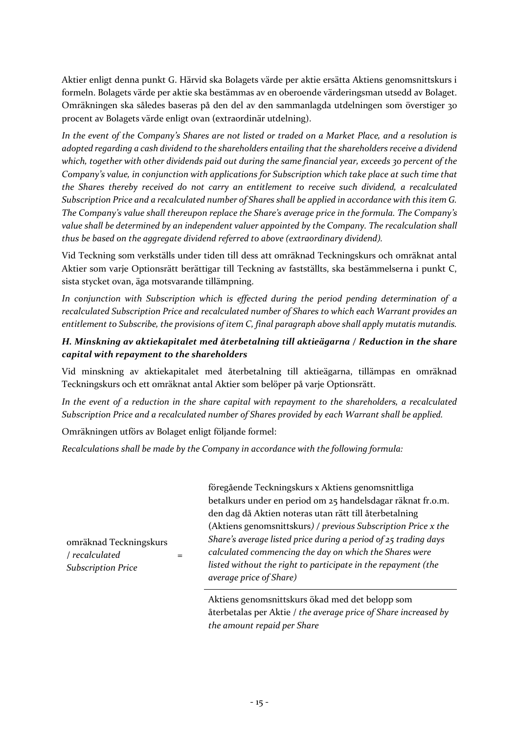Aktier enligt denna punkt G. Härvid ska Bolagets värde per aktie ersätta Aktiens genomsnittskurs i formeln. Bolagets värde per aktie ska bestämmas av en oberoende värderingsman utsedd av Bolaget. Omräkningen ska således baseras på den del av den sammanlagda utdelningen som överstiger 30 procent av Bolagets värde enligt ovan (extraordinär utdelning).

*In the event of the Company's Shares are not listed or traded on a Market Place, and a resolution is adopted regarding a cash dividend to the shareholders entailing that the shareholders receive a dividend which, together with other dividends paid out during the same financial year, exceeds 30 percent of the Company's value, in conjunction with applications for Subscription which take place at such time that the Shares thereby received do not carry an entitlement to receive such dividend, a recalculated Subscription Price and a recalculated number of Shares shall be applied in accordance with this item G. The Company's value shall thereupon replace the Share's average price in the formula. The Company's value shall be determined by an independent valuer appointed by the Company. The recalculation shall thus be based on the aggregate dividend referred to above (extraordinary dividend).*

Vid Teckning som verkställs under tiden till dess att omräknad Teckningskurs och omräknat antal Aktier som varje Optionsrätt berättigar till Teckning av fastställts, ska bestämmelserna i punkt C, sista stycket ovan, äga motsvarande tillämpning.

*In conjunction with Subscription which is effected during the period pending determination of a recalculated Subscription Price and recalculated number of Shares to which each Warrant provides an entitlement to Subscribe, the provisions of item C, final paragraph above shall apply mutatis mutandis.*

# *H. Minskning av aktiekapitalet med återbetalning till aktieägarna / Reduction in the share capital with repayment to the shareholders*

Vid minskning av aktiekapitalet med återbetalning till aktieägarna, tillämpas en omräknad Teckningskurs och ett omräknat antal Aktier som belöper på varje Optionsrätt.

*In the event of a reduction in the share capital with repayment to the shareholders, a recalculated Subscription Price and a recalculated number of Shares provided by each Warrant shall be applied.*

Omräkningen utförs av Bolaget enligt följande formel:

=

*Recalculations shall be made by the Company in accordance with the following formula:*

omräknad Teckningskurs / *recalculated Subscription Price*

föregående Teckningskurs x Aktiens genomsnittliga betalkurs under en period om 25 handelsdagar räknat fr.o.m. den dag då Aktien noteras utan rätt till återbetalning (Aktiens genomsnittskurs*) / previous Subscription Price x the Share's average listed price during a period of 25 trading days calculated commencing the day on which the Shares were listed without the right to participate in the repayment (the average price of Share)*

Aktiens genomsnittskurs ökad med det belopp som återbetalas per Aktie / *the average price of Share increased by the amount repaid per Share*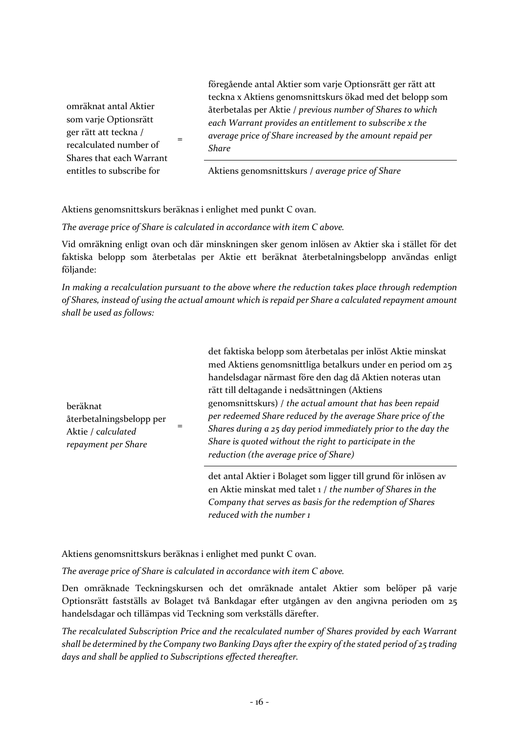omräknat antal Aktier som varje Optionsrätt ger rätt att teckna / recalculated number of Shares that each Warrant entitles to subscribe for

föregående antal Aktier som varje Optionsrätt ger rätt att teckna x Aktiens genomsnittskurs ökad med det belopp som återbetalas per Aktie / *previous number of Shares to which each Warrant provides an entitlement to subscribe x the average price of Share increased by the amount repaid per Share*

Aktiens genomsnittskurs / *average price of Share*

Aktiens genomsnittskurs beräknas i enlighet med punkt C ovan.

=

*The average price of Share is calculated in accordance with item C above.*

Vid omräkning enligt ovan och där minskningen sker genom inlösen av Aktier ska i stället för det faktiska belopp som återbetalas per Aktie ett beräknat återbetalningsbelopp användas enligt följande:

*In making a recalculation pursuant to the above where the reduction takes place through redemption of Shares, instead of using the actual amount which is repaid per Share a calculated repayment amount shall be used as follows:*

beräknat återbetalningsbelopp per Aktie / c*alculated repayment per Share*

det faktiska belopp som återbetalas per inlöst Aktie minskat med Aktiens genomsnittliga betalkurs under en period om 25 handelsdagar närmast före den dag då Aktien noteras utan rätt till deltagande i nedsättningen (Aktiens genomsnittskurs) / *the actual amount that has been repaid per redeemed Share reduced by the average Share price of the Shares during a 25 day period immediately prior to the day the Share is quoted without the right to participate in the reduction (the average price of Share)*

det antal Aktier i Bolaget som ligger till grund för inlösen av en Aktie minskat med talet 1 / *the number of Shares in the Company that serves as basis for the redemption of Shares reduced with the number 1*

Aktiens genomsnittskurs beräknas i enlighet med punkt C ovan.

=

*The average price of Share is calculated in accordance with item C above.*

Den omräknade Teckningskursen och det omräknade antalet Aktier som belöper på varje Optionsrätt fastställs av Bolaget två Bankdagar efter utgången av den angivna perioden om 25 handelsdagar och tillämpas vid Teckning som verkställs därefter.

*The recalculated Subscription Price and the recalculated number of Shares provided by each Warrant shall be determined by the Company two Banking Days after the expiry of the stated period of 25 trading days and shall be applied to Subscriptions effected thereafter.*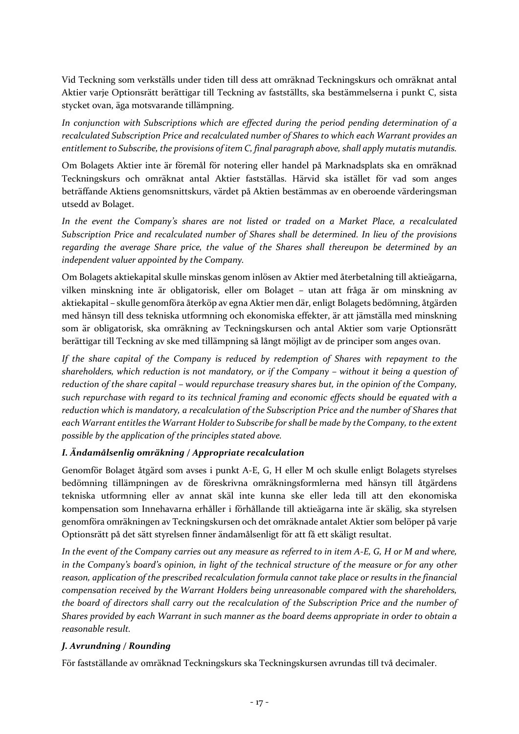Vid Teckning som verkställs under tiden till dess att omräknad Teckningskurs och omräknat antal Aktier varje Optionsrätt berättigar till Teckning av fastställts, ska bestämmelserna i punkt C, sista stycket ovan, äga motsvarande tillämpning.

*In conjunction with Subscriptions which are effected during the period pending determination of a recalculated Subscription Price and recalculated number of Shares to which each Warrant provides an entitlement to Subscribe, the provisions of item C, final paragraph above, shall apply mutatis mutandis.*

Om Bolagets Aktier inte är föremål för notering eller handel på Marknadsplats ska en omräknad Teckningskurs och omräknat antal Aktier fastställas. Härvid ska istället för vad som anges beträffande Aktiens genomsnittskurs, värdet på Aktien bestämmas av en oberoende värderingsman utsedd av Bolaget.

*In the event the Company's shares are not listed or traded on a Market Place, a recalculated Subscription Price and recalculated number of Shares shall be determined. In lieu of the provisions regarding the average Share price, the value of the Shares shall thereupon be determined by an independent valuer appointed by the Company.* 

Om Bolagets aktiekapital skulle minskas genom inlösen av Aktier med återbetalning till aktieägarna, vilken minskning inte är obligatorisk, eller om Bolaget – utan att fråga är om minskning av aktiekapital – skulle genomföra återköp av egna Aktier men där, enligt Bolagets bedömning, åtgärden med hänsyn till dess tekniska utformning och ekonomiska effekter, är att jämställa med minskning som är obligatorisk, ska omräkning av Teckningskursen och antal Aktier som varje Optionsrätt berättigar till Teckning av ske med tillämpning så långt möjligt av de principer som anges ovan.

*If the share capital of the Company is reduced by redemption of Shares with repayment to the shareholders, which reduction is not mandatory, or if the Company – without it being a question of reduction of the share capital – would repurchase treasury shares but, in the opinion of the Company, such repurchase with regard to its technical framing and economic effects should be equated with a reduction which is mandatory, a recalculation of the Subscription Price and the number of Shares that each Warrant entitles the Warrant Holder to Subscribe for shall be made by the Company, to the extent possible by the application of the principles stated above.*

## *I. Ändamålsenlig omräkning / Appropriate recalculation*

Genomför Bolaget åtgärd som avses i punkt A-E, G, H eller M och skulle enligt Bolagets styrelses bedömning tillämpningen av de föreskrivna omräkningsformlerna med hänsyn till åtgärdens tekniska utformning eller av annat skäl inte kunna ske eller leda till att den ekonomiska kompensation som Innehavarna erhåller i förhållande till aktieägarna inte är skälig, ska styrelsen genomföra omräkningen av Teckningskursen och det omräknade antalet Aktier som belöper på varje Optionsrätt på det sätt styrelsen finner ändamålsenligt för att få ett skäligt resultat.

*In the event of the Company carries out any measure as referred to in item A-E, G, H or M and where, in the Company's board's opinion, in light of the technical structure of the measure or for any other reason, application of the prescribed recalculation formula cannot take place or results in the financial compensation received by the Warrant Holders being unreasonable compared with the shareholders, the board of directors shall carry out the recalculation of the Subscription Price and the number of Shares provided by each Warrant in such manner as the board deems appropriate in order to obtain a reasonable result.*

#### *J. Avrundning / Rounding*

För fastställande av omräknad Teckningskurs ska Teckningskursen avrundas till två decimaler.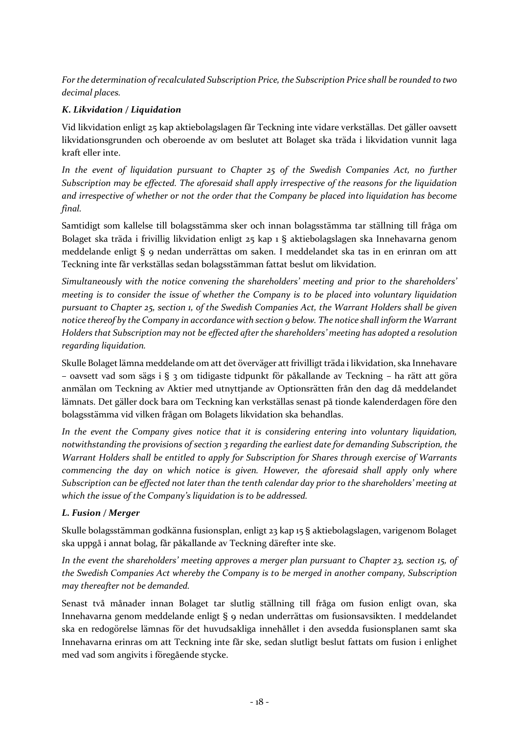*For the determination of recalculated Subscription Price, the Subscription Price shall be rounded to two decimal places.*

## *K. Likvidation / Liquidation*

Vid likvidation enligt 25 kap aktiebolagslagen får Teckning inte vidare verkställas. Det gäller oavsett likvidationsgrunden och oberoende av om beslutet att Bolaget ska träda i likvidation vunnit laga kraft eller inte.

*In the event of liquidation pursuant to Chapter 25 of the Swedish Companies Act, no further Subscription may be effected. The aforesaid shall apply irrespective of the reasons for the liquidation and irrespective of whether or not the order that the Company be placed into liquidation has become final.*

Samtidigt som kallelse till bolagsstämma sker och innan bolagsstämma tar ställning till fråga om Bolaget ska träda i frivillig likvidation enligt 25 kap 1 § aktiebolagslagen ska Innehavarna genom meddelande enligt § 9 nedan underrättas om saken. I meddelandet ska tas in en erinran om att Teckning inte får verkställas sedan bolagsstämman fattat beslut om likvidation.

*Simultaneously with the notice convening the shareholders' meeting and prior to the shareholders' meeting is to consider the issue of whether the Company is to be placed into voluntary liquidation pursuant to Chapter 25, section 1, of the Swedish Companies Act, the Warrant Holders shall be given notice thereof by the Company in accordance with section 9 below. The notice shall inform the Warrant Holders that Subscription may not be effected after the shareholders' meeting has adopted a resolution regarding liquidation.*

Skulle Bolaget lämna meddelande om att det överväger att frivilligt träda i likvidation, ska Innehavare – oavsett vad som sägs i § 3 om tidigaste tidpunkt för påkallande av Teckning – ha rätt att göra anmälan om Teckning av Aktier med utnyttjande av Optionsrätten från den dag då meddelandet lämnats. Det gäller dock bara om Teckning kan verkställas senast på tionde kalenderdagen före den bolagsstämma vid vilken frågan om Bolagets likvidation ska behandlas.

*In the event the Company gives notice that it is considering entering into voluntary liquidation, notwithstanding the provisions of section 3 regarding the earliest date for demanding Subscription, the Warrant Holders shall be entitled to apply for Subscription for Shares through exercise of Warrants commencing the day on which notice is given. However, the aforesaid shall apply only where Subscription can be effected not later than the tenth calendar day prior to the shareholders' meeting at which the issue of the Company's liquidation is to be addressed.*

## *L. Fusion / Merger*

Skulle bolagsstämman godkänna fusionsplan, enligt 23 kap 15 § aktiebolagslagen, varigenom Bolaget ska uppgå i annat bolag, får påkallande av Teckning därefter inte ske.

*In the event the shareholders' meeting approves a merger plan pursuant to Chapter 23, section 15, of the Swedish Companies Act whereby the Company is to be merged in another company, Subscription may thereafter not be demanded.*

Senast två månader innan Bolaget tar slutlig ställning till fråga om fusion enligt ovan, ska Innehavarna genom meddelande enligt § 9 nedan underrättas om fusionsavsikten. I meddelandet ska en redogörelse lämnas för det huvudsakliga innehållet i den avsedda fusionsplanen samt ska Innehavarna erinras om att Teckning inte får ske, sedan slutligt beslut fattats om fusion i enlighet med vad som angivits i föregående stycke.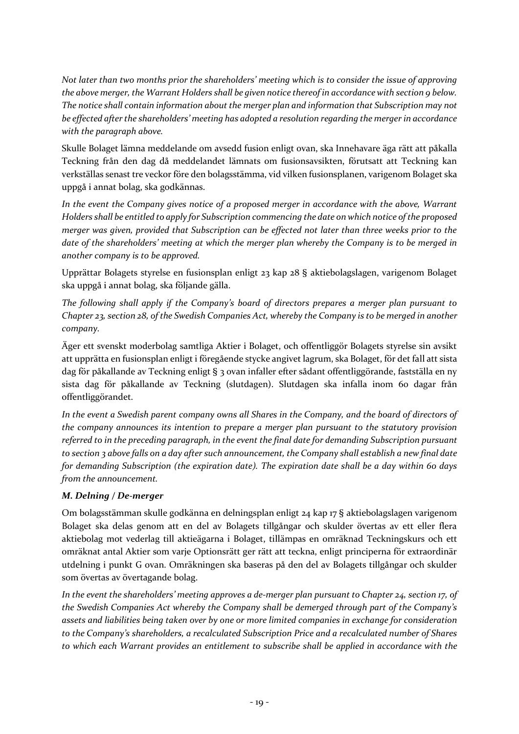*Not later than two months prior the shareholders' meeting which is to consider the issue of approving the above merger, the Warrant Holders shall be given notice thereof in accordance with section 9 below. The notice shall contain information about the merger plan and information that Subscription may not be effected after the shareholders' meeting has adopted a resolution regarding the merger in accordance with the paragraph above.*

Skulle Bolaget lämna meddelande om avsedd fusion enligt ovan, ska Innehavare äga rätt att påkalla Teckning från den dag då meddelandet lämnats om fusionsavsikten, förutsatt att Teckning kan verkställas senast tre veckor före den bolagsstämma, vid vilken fusionsplanen, varigenom Bolaget ska uppgå i annat bolag, ska godkännas.

*In the event the Company gives notice of a proposed merger in accordance with the above, Warrant Holders shall be entitled to apply for Subscription commencing the date on which notice of the proposed merger was given, provided that Subscription can be effected not later than three weeks prior to the date of the shareholders' meeting at which the merger plan whereby the Company is to be merged in another company is to be approved.*

Upprättar Bolagets styrelse en fusionsplan enligt 23 kap 28 § aktiebolagslagen, varigenom Bolaget ska uppgå i annat bolag, ska följande gälla.

*The following shall apply if the Company's board of directors prepares a merger plan pursuant to Chapter 23, section 28, of the Swedish Companies Act, whereby the Company is to be merged in another company.*

Äger ett svenskt moderbolag samtliga Aktier i Bolaget, och offentliggör Bolagets styrelse sin avsikt att upprätta en fusionsplan enligt i föregående stycke angivet lagrum, ska Bolaget, för det fall att sista dag för påkallande av Teckning enligt § 3 ovan infaller efter sådant offentliggörande, fastställa en ny sista dag för påkallande av Teckning (slutdagen). Slutdagen ska infalla inom 60 dagar från offentliggörandet.

*In the event a Swedish parent company owns all Shares in the Company, and the board of directors of the company announces its intention to prepare a merger plan pursuant to the statutory provision referred to in the preceding paragraph, in the event the final date for demanding Subscription pursuant to section 3 above falls on a day after such announcement, the Company shall establish a new final date for demanding Subscription (the expiration date). The expiration date shall be a day within 60 days from the announcement.*

## *M. Delning / De-merger*

Om bolagsstämman skulle godkänna en delningsplan enligt 24 kap 17 § aktiebolagslagen varigenom Bolaget ska delas genom att en del av Bolagets tillgångar och skulder övertas av ett eller flera aktiebolag mot vederlag till aktieägarna i Bolaget, tillämpas en omräknad Teckningskurs och ett omräknat antal Aktier som varje Optionsrätt ger rätt att teckna, enligt principerna för extraordinär utdelning i punkt G ovan. Omräkningen ska baseras på den del av Bolagets tillgångar och skulder som övertas av övertagande bolag.

*In the event the shareholders' meeting approves a de-merger plan pursuant to Chapter 24, section 17, of the Swedish Companies Act whereby the Company shall be demerged through part of the Company's assets and liabilities being taken over by one or more limited companies in exchange for consideration to the Company's shareholders, a recalculated Subscription Price and a recalculated number of Shares to which each Warrant provides an entitlement to subscribe shall be applied in accordance with the*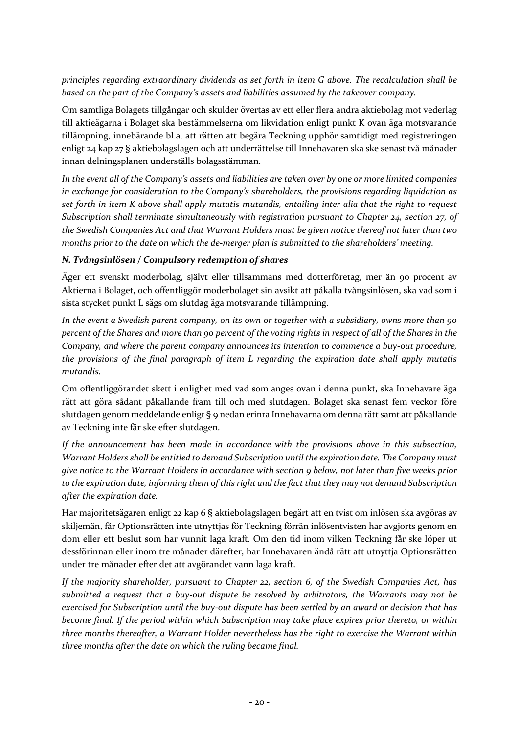*principles regarding extraordinary dividends as set forth in item G above. The recalculation shall be based on the part of the Company's assets and liabilities assumed by the takeover company.*

Om samtliga Bolagets tillgångar och skulder övertas av ett eller flera andra aktiebolag mot vederlag till aktieägarna i Bolaget ska bestämmelserna om likvidation enligt punkt K ovan äga motsvarande tillämpning, innebärande bl.a. att rätten att begära Teckning upphör samtidigt med registreringen enligt 24 kap 27 § aktiebolagslagen och att underrättelse till Innehavaren ska ske senast två månader innan delningsplanen underställs bolagsstämman.

*In the event all of the Company's assets and liabilities are taken over by one or more limited companies in exchange for consideration to the Company's shareholders, the provisions regarding liquidation as set forth in item K above shall apply mutatis mutandis, entailing inter alia that the right to request Subscription shall terminate simultaneously with registration pursuant to Chapter 24, section 27, of the Swedish Companies Act and that Warrant Holders must be given notice thereof not later than two months prior to the date on which the de-merger plan is submitted to the shareholders' meeting.*

### *N. Tvångsinlösen / Compulsory redemption of shares*

Äger ett svenskt moderbolag, självt eller tillsammans med dotterföretag, mer än 90 procent av Aktierna i Bolaget, och offentliggör moderbolaget sin avsikt att påkalla tvångsinlösen, ska vad som i sista stycket punkt L sägs om slutdag äga motsvarande tillämpning.

*In the event a Swedish parent company, on its own or together with a subsidiary, owns more than 90 percent of the Shares and more than 90 percent of the voting rights in respect of all of the Shares in the Company, and where the parent company announces its intention to commence a buy-out procedure, the provisions of the final paragraph of item L regarding the expiration date shall apply mutatis mutandis.*

Om offentliggörandet skett i enlighet med vad som anges ovan i denna punkt, ska Innehavare äga rätt att göra sådant påkallande fram till och med slutdagen. Bolaget ska senast fem veckor före slutdagen genom meddelande enligt § 9 nedan erinra Innehavarna om denna rätt samt att påkallande av Teckning inte får ske efter slutdagen.

*If the announcement has been made in accordance with the provisions above in this subsection, Warrant Holders shall be entitled to demand Subscription until the expiration date. The Company must give notice to the Warrant Holders in accordance with section 9 below, not later than five weeks prior to the expiration date, informing them of this right and the fact that they may not demand Subscription after the expiration date.*

Har majoritetsägaren enligt 22 kap 6 § aktiebolagslagen begärt att en tvist om inlösen ska avgöras av skiljemän, får Optionsrätten inte utnyttjas för Teckning förrän inlösentvisten har avgjorts genom en dom eller ett beslut som har vunnit laga kraft. Om den tid inom vilken Teckning får ske löper ut dessförinnan eller inom tre månader därefter, har Innehavaren ändå rätt att utnyttja Optionsrätten under tre månader efter det att avgörandet vann laga kraft.

*If the majority shareholder, pursuant to Chapter 22, section 6, of the Swedish Companies Act, has submitted a request that a buy-out dispute be resolved by arbitrators, the Warrants may not be exercised for Subscription until the buy-out dispute has been settled by an award or decision that has become final. If the period within which Subscription may take place expires prior thereto, or within three months thereafter, a Warrant Holder nevertheless has the right to exercise the Warrant within three months after the date on which the ruling became final.*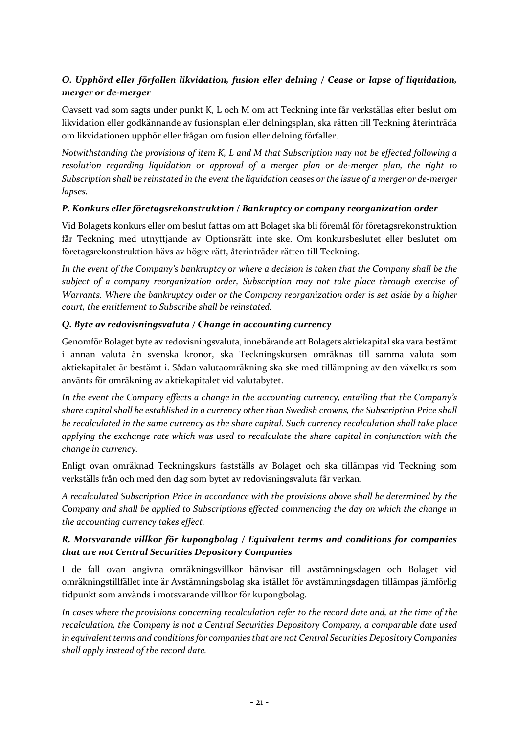# *O. Upphörd eller förfallen likvidation, fusion eller delning / Cease or lapse of liquidation, merger or de-merger*

Oavsett vad som sagts under punkt K, L och M om att Teckning inte får verkställas efter beslut om likvidation eller godkännande av fusionsplan eller delningsplan, ska rätten till Teckning återinträda om likvidationen upphör eller frågan om fusion eller delning förfaller.

*Notwithstanding the provisions of item K, L and M that Subscription may not be effected following a resolution regarding liquidation or approval of a merger plan or de-merger plan, the right to Subscription shall be reinstated in the event the liquidation ceases or the issue of a merger or de-merger lapses.*

### *P. Konkurs eller företagsrekonstruktion / Bankruptcy or company reorganization order*

Vid Bolagets konkurs eller om beslut fattas om att Bolaget ska bli föremål för företagsrekonstruktion får Teckning med utnyttjande av Optionsrätt inte ske. Om konkursbeslutet eller beslutet om företagsrekonstruktion hävs av högre rätt, återinträder rätten till Teckning.

*In the event of the Company's bankruptcy or where a decision is taken that the Company shall be the subject of a company reorganization order, Subscription may not take place through exercise of Warrants. Where the bankruptcy order or the Company reorganization order is set aside by a higher court, the entitlement to Subscribe shall be reinstated.*

### *Q. Byte av redovisningsvaluta / Change in accounting currency*

Genomför Bolaget byte av redovisningsvaluta, innebärande att Bolagets aktiekapital ska vara bestämt i annan valuta än svenska kronor, ska Teckningskursen omräknas till samma valuta som aktiekapitalet är bestämt i. Sådan valutaomräkning ska ske med tillämpning av den växelkurs som använts för omräkning av aktiekapitalet vid valutabytet.

*In the event the Company effects a change in the accounting currency, entailing that the Company's share capital shall be established in a currency other than Swedish crowns, the Subscription Price shall be recalculated in the same currency as the share capital. Such currency recalculation shall take place applying the exchange rate which was used to recalculate the share capital in conjunction with the change in currency.*

Enligt ovan omräknad Teckningskurs fastställs av Bolaget och ska tillämpas vid Teckning som verkställs från och med den dag som bytet av redovisningsvaluta får verkan.

*A recalculated Subscription Price in accordance with the provisions above shall be determined by the Company and shall be applied to Subscriptions effected commencing the day on which the change in the accounting currency takes effect.*

### *R. Motsvarande villkor för kupongbolag / Equivalent terms and conditions for companies that are not Central Securities Depository Companies*

I de fall ovan angivna omräkningsvillkor hänvisar till avstämningsdagen och Bolaget vid omräkningstillfället inte är Avstämningsbolag ska istället för avstämningsdagen tillämpas jämförlig tidpunkt som används i motsvarande villkor för kupongbolag.

*In cases where the provisions concerning recalculation refer to the record date and, at the time of the recalculation, the Company is not a Central Securities Depository Company, a comparable date used in equivalent terms and conditions for companies that are not Central Securities Depository Companies shall apply instead of the record date.*